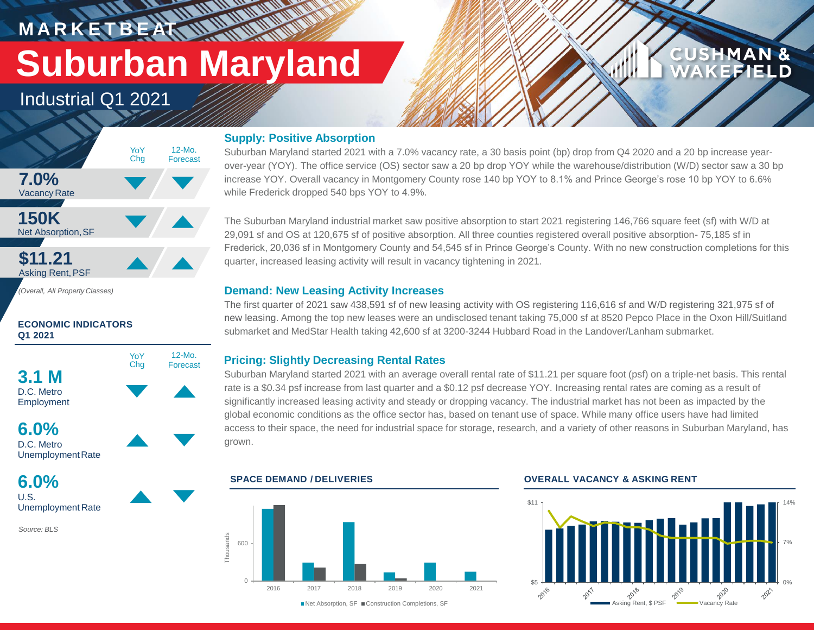**M A R K E T B E AT Suburban Maryland**

Industrial Q1 2021



## **ECONOMIC INDICATORS Q1 2021**





UnemploymentRate

**6.0%** U.S. Unemployment Rate

*Source: BLS*

## **Supply: Positive Absorption**

**WALLAND** 

Suburban Maryland started 2021 with a 7.0% vacancy rate, a 30 basis point (bp) drop from Q4 2020 and a 20 bp increase yearover-year (YOY). The office service (OS) sector saw a 20 bp drop YOY while the warehouse/distribution (W/D) sector saw a 30 bp increase YOY. Overall vacancy in Montgomery County rose 140 bp YOY to 8.1% and Prince George's rose 10 bp YOY to 6.6% while Frederick dropped 540 bps YOY to 4.9%.

The Suburban Maryland industrial market saw positive absorption to start 2021 registering 146,766 square feet (sf) with W/D at 29,091 sf and OS at 120,675 sf of positive absorption. All three counties registered overall positive absorption- 75,185 sf in Frederick, 20,036 sf in Montgomery County and 54,545 sf in Prince George's County. With no new construction completions for this quarter, increased leasing activity will result in vacancy tightening in 2021.

## **Demand: New Leasing Activity Increases**

The first quarter of 2021 saw 438,591 sf of new leasing activity with OS registering 116,616 sf and W/D registering 321,975 sf of new leasing. Among the top new leases were an undisclosed tenant taking 75,000 sf at 8520 Pepco Place in the Oxon Hill/Suitland submarket and MedStar Health taking 42,600 sf at 3200-3244 Hubbard Road in the Landover/Lanham submarket.

## **Pricing: Slightly Decreasing Rental Rates**

Suburban Maryland started 2021 with an average overall rental rate of \$11.21 per square foot (psf) on a triple-net basis. This rental rate is a \$0.34 psf increase from last quarter and a \$0.12 psf decrease YOY. Increasing rental rates are coming as a result of significantly increased leasing activity and steady or dropping vacancy. The industrial market has not been as impacted by the global economic conditions as the office sector has, based on tenant use of space. While many office users have had limited access to their space, the need for industrial space for storage, research, and a variety of other reasons in Suburban Maryland, has grown.



## **SPACE DEMAND / DELIVERIES OVERALL VACANCY & ASKING RENT**



**CUSHMAN &** 

**CEFIELD**